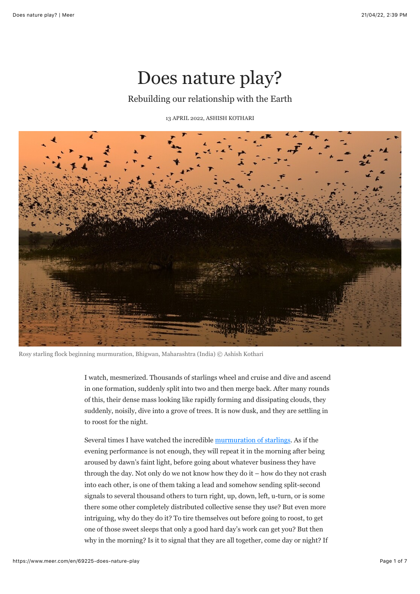## Does nature play?

## Rebuilding our relationship with the Earth

13 APRIL 2022, [ASHISH KOTHARI](https://www.meer.com/en/authors/827-ashish-kothari)



Rosy starling flock beginning murmuration, Bhigwan, Maharashtra (India) © Ashish Kothari

I watch, mesmerized. Thousands of starlings wheel and cruise and dive and ascend in one formation, suddenly split into two and then merge back. After many rounds of this, their dense mass looking like rapidly forming and dissipating clouds, they suddenly, noisily, dive into a grove of trees. It is now dusk, and they are settling in to roost for the night.

Several times I have watched the incredible [murmuration of starlings.](https://youtu.be/CIlfwQgBauo) As if the evening performance is not enough, they will repeat it in the morning after being aroused by dawn's faint light, before going about whatever business they have through the day. Not only do we not know how they do it – how do they not crash into each other, is one of them taking a lead and somehow sending split-second signals to several thousand others to turn right, up, down, left, u-turn, or is some there some other completely distributed collective sense they use? But even more intriguing, why do they do it? To tire themselves out before going to roost, to get one of those sweet sleeps that only a good hard day's work can get you? But then why in the morning? Is it to signal that they are all together, come day or night? If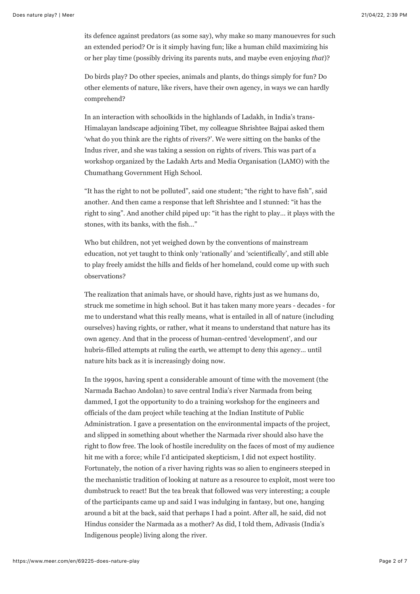its defence against predators (as some say), why make so many manouevres for such an extended period? Or is it simply having fun; like a human child maximizing his or her play time (possibly driving its parents nuts, and maybe even enjoying *that*)?

Do birds play? Do other species, animals and plants, do things simply for fun? Do other elements of nature, like rivers, have their own agency, in ways we can hardly comprehend?

In an interaction with schoolkids in the highlands of Ladakh, in India's trans-Himalayan landscape adjoining Tibet, my colleague Shrishtee Bajpai asked them 'what do you think are the rights of rivers?'. We were sitting on the banks of the Indus river, and she was taking a session on rights of rivers. This was part of a workshop organized by the Ladakh Arts and Media Organisation (LAMO) with the Chumathang Government High School.

"It has the right to not be polluted", said one student; "the right to have fish", said another. And then came a response that left Shrishtee and I stunned: "it has the right to sing". And another child piped up: "it has the right to play… it plays with the stones, with its banks, with the fish…"

Who but children, not yet weighed down by the conventions of mainstream education, not yet taught to think only 'rationally' and 'scientifically', and still able to play freely amidst the hills and fields of her homeland, could come up with such observations?

The realization that animals have, or should have, rights just as we humans do, struck me sometime in high school. But it has taken many more years - decades - for me to understand what this really means, what is entailed in all of nature (including ourselves) having rights, or rather, what it means to understand that nature has its own agency. And that in the process of human-centred 'development', and our hubris-filled attempts at ruling the earth, we attempt to deny this agency… until nature hits back as it is increasingly doing now.

In the 1990s, having spent a considerable amount of time with the movement (the Narmada Bachao Andolan) to save central India's river Narmada from being dammed, I got the opportunity to do a training workshop for the engineers and officials of the dam project while teaching at the Indian Institute of Public Administration. I gave a presentation on the environmental impacts of the project, and slipped in something about whether the Narmada river should also have the right to flow free. The look of hostile incredulity on the faces of most of my audience hit me with a force; while I'd anticipated skepticism, I did not expect hostility. Fortunately, the notion of a river having rights was so alien to engineers steeped in the mechanistic tradition of looking at nature as a resource to exploit, most were too dumbstruck to react! But the tea break that followed was very interesting; a couple of the participants came up and said I was indulging in fantasy, but one, hanging around a bit at the back, said that perhaps I had a point. After all, he said, did not Hindus consider the Narmada as a mother? As did, I told them, Adivasis (India's Indigenous people) living along the river.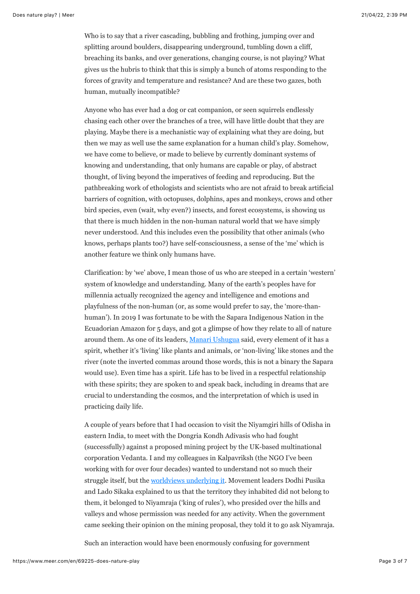Who is to say that a river cascading, bubbling and frothing, jumping over and splitting around boulders, disappearing underground, tumbling down a cliff, breaching its banks, and over generations, changing course, is not playing? What gives us the hubris to think that this is simply a bunch of atoms responding to the forces of gravity and temperature and resistance? And are these two gazes, both human, mutually incompatible?

Anyone who has ever had a dog or cat companion, or seen squirrels endlessly chasing each other over the branches of a tree, will have little doubt that they are playing. Maybe there is a mechanistic way of explaining what they are doing, but then we may as well use the same explanation for a human child's play. Somehow, we have come to believe, or made to believe by currently dominant systems of knowing and understanding, that only humans are capable or play, of abstract thought, of living beyond the imperatives of feeding and reproducing. But the pathbreaking work of ethologists and scientists who are not afraid to break artificial barriers of cognition, with octopuses, dolphins, apes and monkeys, crows and other bird species, even (wait, why even?) insects, and forest ecosystems, is showing us that there is much hidden in the non-human natural world that we have simply never understood. And this includes even the possibility that other animals (who knows, perhaps plants too?) have self-consciousness, a sense of the 'me' which is another feature we think only humans have.

Clarification: by 'we' above, I mean those of us who are steeped in a certain 'western' system of knowledge and understanding. Many of the earth's peoples have for millennia actually recognized the agency and intelligence and emotions and playfulness of the non-human (or, as some would prefer to say, the 'more-thanhuman'). In 2019 I was fortunate to be with the Sapara Indigenous Nation in the Ecuadorian Amazon for 5 days, and got a glimpse of how they relate to all of nature around them. As one of its leaders, [Manari Ushugua](https://www.youtube.com/watch?v=kobllKl4RH8&list=PLXrSdPNCuoDgEdA3IAJq-ECbnoIrgeMU7&index=5) said, every element of it has a spirit, whether it's 'living' like plants and animals, or 'non-living' like stones and the river (note the inverted commas around those words, this is not a binary the Sapara would use). Even time has a spirit. Life has to be lived in a respectful relationship with these spirits; they are spoken to and speak back, including in dreams that are crucial to understanding the cosmos, and the interpretation of which is used in practicing daily life.

A couple of years before that I had occasion to visit the Niyamgiri hills of Odisha in eastern India, to meet with the Dongria Kondh Adivasis who had fought (successfully) against a proposed mining project by the UK-based multinational corporation Vedanta. I and my colleagues in Kalpavriksh (the NGO I've been working with for over four decades) wanted to understand not so much their struggle itself, but the [worldviews underlying it](https://vikalpsangam.org/wp-content/uploads/migrate/Resources/niyamgiricasestudyjan2018.pdf). Movement leaders Dodhi Pusika and Lado Sikaka explained to us that the territory they inhabited did not belong to them, it belonged to Niyamraja ('king of rules'), who presided over the hills and valleys and whose permission was needed for any activity. When the government came seeking their opinion on the mining proposal, they told it to go ask Niyamraja.

Such an interaction would have been enormously confusing for government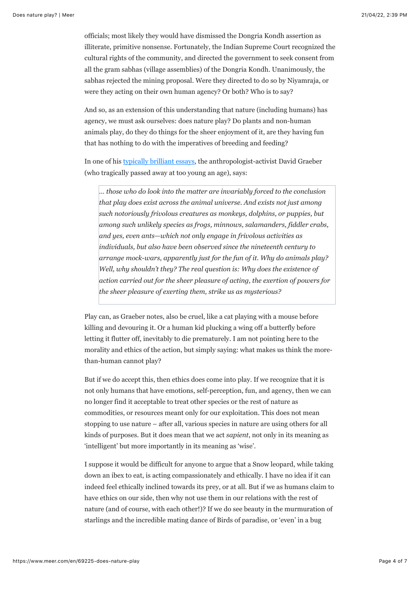officials; most likely they would have dismissed the Dongria Kondh assertion as illiterate, primitive nonsense. Fortunately, the Indian Supreme Court recognized the cultural rights of the community, and directed the government to seek consent from all the gram sabhas (village assemblies) of the Dongria Kondh. Unanimously, the sabhas rejected the mining proposal. Were they directed to do so by Niyamraja, or were they acting on their own human agency? Or both? Who is to say?

And so, as an extension of this understanding that nature (including humans) has agency, we must ask ourselves: does nature play? Do plants and non-human animals play, do they do things for the sheer enjoyment of it, are they having fun that has nothing to do with the imperatives of breeding and feeding?

In one of his [typically brilliant essays,](https://thebaffler.com/salvos/whats-the-point-if-we-cant-have-fun) the anthropologist-activist David Graeber (who tragically passed away at too young an age), says:

*… those who do look into the matter are invariably forced to the conclusion that play does exist across the animal universe. And exists not just among such notoriously frivolous creatures as monkeys, dolphins, or puppies, but among such unlikely species as frogs, minnows, salamanders, fiddler crabs, and yes, even ants—which not only engage in frivolous activities as individuals, but also have been observed since the nineteenth century to arrange mock-wars, apparently just for the fun of it. Why do animals play? Well, why shouldn't they? The real question is: Why does the existence of action carried out for the sheer pleasure of acting, the exertion of powers for the sheer pleasure of exerting them, strike us as mysterious?*

Play can, as Graeber notes, also be cruel, like a cat playing with a mouse before killing and devouring it. Or a human kid plucking a wing off a butterfly before letting it flutter off, inevitably to die prematurely. I am not pointing here to the morality and ethics of the action, but simply saying: what makes us think the morethan-human cannot play?

But if we do accept this, then ethics does come into play. If we recognize that it is not only humans that have emotions, self-perception, fun, and agency, then we can no longer find it acceptable to treat other species or the rest of nature as commodities, or resources meant only for our exploitation. This does not mean stopping to use nature – after all, various species in nature are using others for all kinds of purposes. But it does mean that we act *sapient*, not only in its meaning as 'intelligent' but more importantly in its meaning as 'wise'.

I suppose it would be difficult for anyone to argue that a Snow leopard, while taking down an ibex to eat, is acting compassionately and ethically. I have no idea if it can indeed feel ethically inclined towards its prey, or at all. But if we as humans claim to have ethics on our side, then why not use them in our relations with the rest of nature (and of course, with each other!)? If we do see beauty in the murmuration of starlings and the incredible mating dance of Birds of paradise, or 'even' in a bug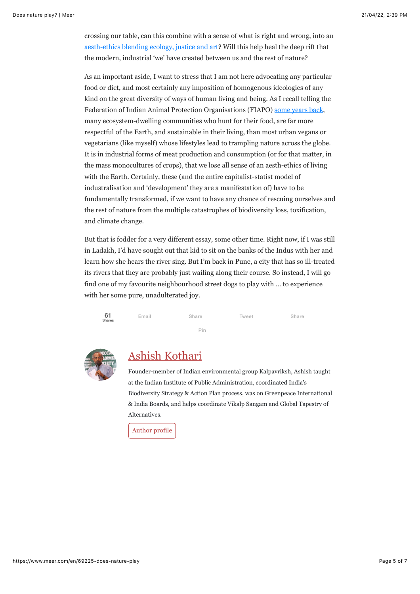crossing our table, can this combine with a sense of what is right and wrong, into an [aesth-ethics blending ecology, justice and art](https://vikalpsangam.org/article/aesth-ethics-towards-blending-ecology-justice-and-art/)? Will this help heal the deep rift that the modern, industrial 'we' have created between us and the rest of nature?

As an important aside, I want to stress that I am not here advocating any particular food or diet, and most certainly any imposition of homogenous ideologies of any kind on the great diversity of ways of human living and being. As I recall telling the Federation of Indian Animal Protection Organisations (FIAPO) [some years back,](https://www.youtube.com/watch?v=Bro2OXsWrUs&list=PLFCe41Bv1XJxmst6lODb4wSTNunxmX96V) many ecosystem-dwelling communities who hunt for their food, are far more respectful of the Earth, and sustainable in their living, than most urban vegans or vegetarians (like myself) whose lifestyles lead to trampling nature across the globe. It is in industrial forms of meat production and consumption (or for that matter, in the mass monocultures of crops), that we lose all sense of an aesth-ethics of living with the Earth. Certainly, these (and the entire capitalist-statist model of industralisation and 'development' they are a manifestation of) have to be fundamentally transformed, if we want to have any chance of rescuing ourselves and the rest of nature from the multiple catastrophes of biodiversity loss, toxification, and climate change.

But that is fodder for a very different essay, some other time. Right now, if I was still in Ladakh, I'd have sought out that kid to sit on the banks of the Indus with her and learn how she hears the river sing. But I'm back in Pune, a city that has so ill-treated its rivers that they are probably just wailing along their course. So instead, I will go find one of my favourite neighbourhood street dogs to play with … to experience with her some pure, unadulterated joy.





## [Ashish Kothari](https://www.meer.com/en/authors/827-ashish-kothari)

Founder-member of Indian environmental group Kalpavriksh, Ashish taught at the Indian Institute of Public Administration, coordinated India's Biodiversity Strategy & Action Plan process, was on Greenpeace International & India Boards, and helps coordinate Vikalp Sangam and Global Tapestry of Alternatives.

[Author profile](https://www.meer.com/en/authors/827-ashish-kothari)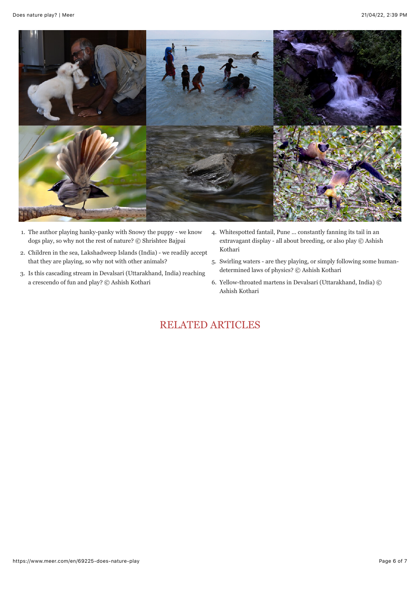

- 1. The author playing hanky-panky with Snowy the puppy we know dogs play, so why not the rest of nature? © Shrishtee Bajpai
- 2. Children in the sea, Lakshadweep Islands (India) we readily accept that they are playing, so why not with other animals?
- 3. Is this cascading stream in Devalsari (Uttarakhand, India) reaching a crescendo of fun and play? © Ashish Kothari
- 4. Whitespotted fantail, Pune ... constantly fanning its tail in an extravagant display - all about breeding, or also play © Ashish Kothari
- 5. Swirling waters are they playing, or simply following some humandetermined laws of physics? © Ashish Kothari
- 6. Yellow-throated martens in Devalsari (Uttarakhand, India) © Ashish Kothari

## RELATED ARTICLES